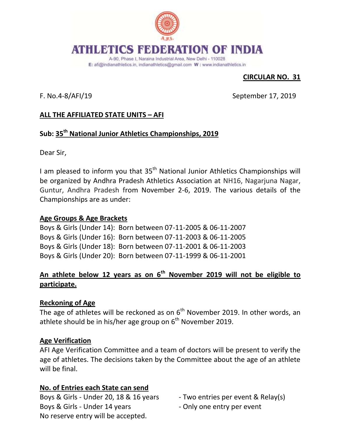

#### **ATHEFICS** ATION OF INDIA

A-90, Phase I, Naraina Industrial Area, New Delhi - 110028 E: afi@indianathletics.in, indianathletics@gmail.com W: www.indianathletics.in

## **CIRCULAR NO. 31**

F. No.4-8/AFI/19 September 17, 2019

# **ALL THE AFFILIATED STATE UNITS – AFI**

# **Sub: 35th National Junior Athletics Championships, 2019**

Dear Sir,

I am pleased to inform you that 35<sup>th</sup> National Junior Athletics Championships will be organized by Andhra Pradesh Athletics Association at NH16, Nagarjuna Nagar, Guntur, Andhra Pradesh from November 2-6, 2019. The various details of the Championships are as under:

#### **Age Groups & Age Brackets**

Boys & Girls (Under 14): Born between 07-11-2005 & 06-11-2007 Boys & Girls (Under 16): Born between 07-11-2003 & 06-11-2005 Boys & Girls (Under 18): Born between 07-11-2001 & 06-11-2003 Boys & Girls (Under 20): Born between 07-11-1999 & 06-11-2001

# **An athlete below 12 years as on 6th November 2019 will not be eligible to participate.**

## **Reckoning of Age**

The age of athletes will be reckoned as on  $6<sup>th</sup>$  November 2019. In other words, an athlete should be in his/her age group on  $6<sup>th</sup>$  November 2019.

## **Age Verification**

AFI Age Verification Committee and a team of doctors will be present to verify the age of athletes. The decisions taken by the Committee about the age of an athlete will be final.

## **No. of Entries each State can send**

Boys & Girls - Under 20, 18 & 16 years - Two entries per event & Relay(s) Boys & Girls - Under 14 years - Only one entry per event No reserve entry will be accepted.

- 
-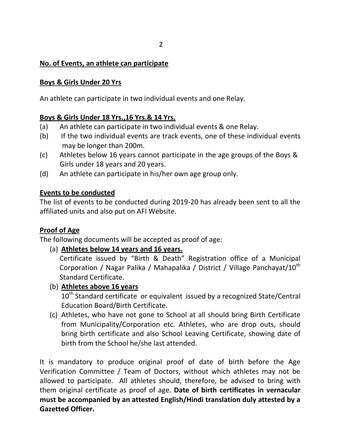#### 2

## **No. of Events, an athlete can participate**

#### **Boys & Girls Under 20 Yrs**

An athlete can participate in two individual events and one Relay.

## **Boys & Girls Under 18 Yrs.,16 Yrs.& 14 Yrs.**

- (a) An athlete can participate in two individual events & one Relay.
- (b) If the two individual events are track events, one of these individual events may be longer than 200m.
- (c) Athletes below 16 years cannot participate in the age groups of the Boys & Girls under 18 years and 20 years.
- (d) An athlete can participate in his/her own age group only.

## **Events to be conducted**

The list of events to be conducted during 2019-20 has already been sent to all the affiliated units and also put on AFI Website.

## **Proof of Age**

The following documents will be accepted as proof of age:

(a) **Athletes below 14 years and 16 years.**

Certificate issued by "Birth & Death" Registration office of a Municipal Corporation / Nagar Palika / Mahapalika / District / Village Panchayat/10<sup>th</sup> Standard Certificate.

## (b) **Athletes above 16 years**

 $10<sup>th</sup>$  Standard certificate or equivalent issued by a recognized State/Central Education Board/Birth Certificate.

(c) Athletes, who have not gone to School at all should bring Birth Certificate from Municipality/Corporation etc. Athletes, who are drop outs, should bring birth certificate and also School Leaving Certificate, showing date of birth from the School he/she last attended.

It is mandatory to produce original proof of date of birth before the Age Verification Committee / Team of Doctors, without which athletes may not be allowed to participate. All athletes should, therefore, be advised to bring with them original certificate as proof of age. **Date of birth certificates in vernacular must be accompanied by an attested English/Hindi translation duly attested by a Gazetted Officer.**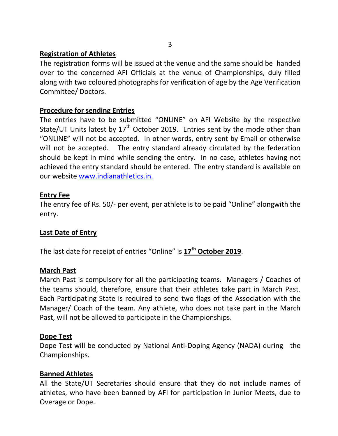# **Registration of Athletes**

The registration forms will be issued at the venue and the same should be handed over to the concerned AFI Officials at the venue of Championships, duly filled along with two coloured photographs for verification of age by the Age Verification Committee/ Doctors.

# **Procedure for sending Entries**

The entries have to be submitted "ONLINE" on AFI Website by the respective State/UT Units latest by  $17<sup>th</sup>$  October 2019. Entries sent by the mode other than "ONLINE" will not be accepted. In other words, entry sent by Email or otherwise will not be accepted. The entry standard already circulated by the federation should be kept in mind while sending the entry. In no case, athletes having not achieved the entry standard should be entered. The entry standard is available on our website [www.indianathletics.in.](http://www.indianathletics.in/)

## **Entry Fee**

The entry fee of Rs. 50/- per event, per athlete is to be paid "Online" alongwith the entry.

## **Last Date of Entry**

The last date for receipt of entries "Online" is **17th October 2019**.

## **March Past**

March Past is compulsory for all the participating teams. Managers / Coaches of the teams should, therefore, ensure that their athletes take part in March Past. Each Participating State is required to send two flags of the Association with the Manager/ Coach of the team. Any athlete, who does not take part in the March Past, will not be allowed to participate in the Championships.

## **Dope Test**

Dope Test will be conducted by National Anti-Doping Agency (NADA) during the Championships.

## **Banned Athletes**

All the State/UT Secretaries should ensure that they do not include names of athletes, who have been banned by AFI for participation in Junior Meets, due to Overage or Dope.